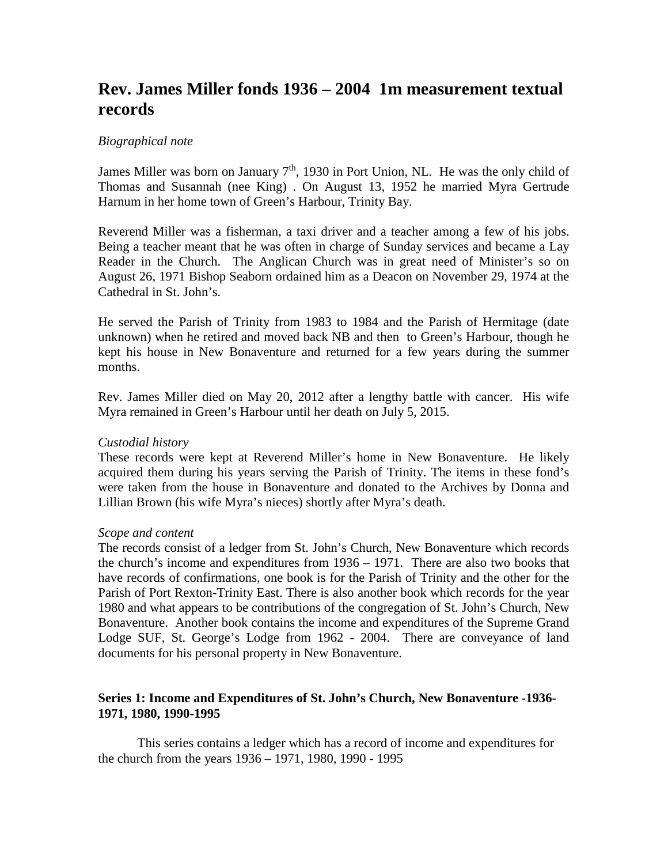# **Rev. James Miller fonds 1936 – 2004 1m measurement textual records**

#### *Biographical note*

James Miller was born on January  $7<sup>th</sup>$ , 1930 in Port Union, NL. He was the only child of Thomas and Susannah (nee King) . On August 13, 1952 he married Myra Gertrude Harnum in her home town of Green's Harbour, Trinity Bay.

Reverend Miller was a fisherman, a taxi driver and a teacher among a few of his jobs. Being a teacher meant that he was often in charge of Sunday services and became a Lay Reader in the Church. The Anglican Church was in great need of Minister's so on August 26, 1971 Bishop Seaborn ordained him as a Deacon on November 29, 1974 at the Cathedral in St. John's.

He served the Parish of Trinity from 1983 to 1984 and the Parish of Hermitage (date unknown) when he retired and moved back NB and then to Green's Harbour, though he kept his house in New Bonaventure and returned for a few years during the summer months.

Rev. James Miller died on May 20, 2012 after a lengthy battle with cancer. His wife Myra remained in Green's Harbour until her death on July 5, 2015.

#### *Custodial history*

These records were kept at Reverend Miller's home in New Bonaventure. He likely acquired them during his years serving the Parish of Trinity. The items in these fond's were taken from the house in Bonaventure and donated to the Archives by Donna and Lillian Brown (his wife Myra's nieces) shortly after Myra's death.

#### *Scope and content*

The records consist of a ledger from St. John's Church, New Bonaventure which records the church's income and expenditures from 1936 – 1971. There are also two books that have records of confirmations, one book is for the Parish of Trinity and the other for the Parish of Port Rexton-Trinity East. There is also another book which records for the year 1980 and what appears to be contributions of the congregation of St. John's Church, New Bonaventure. Another book contains the income and expenditures of the Supreme Grand Lodge SUF, St. George's Lodge from 1962 - 2004. There are conveyance of land documents for his personal property in New Bonaventure.

### **Series 1: Income and Expenditures of St. John's Church, New Bonaventure -1936- 1971, 1980, 1990-1995**

This series contains a ledger which has a record of income and expenditures for the church from the years 1936 – 1971, 1980, 1990 - 1995